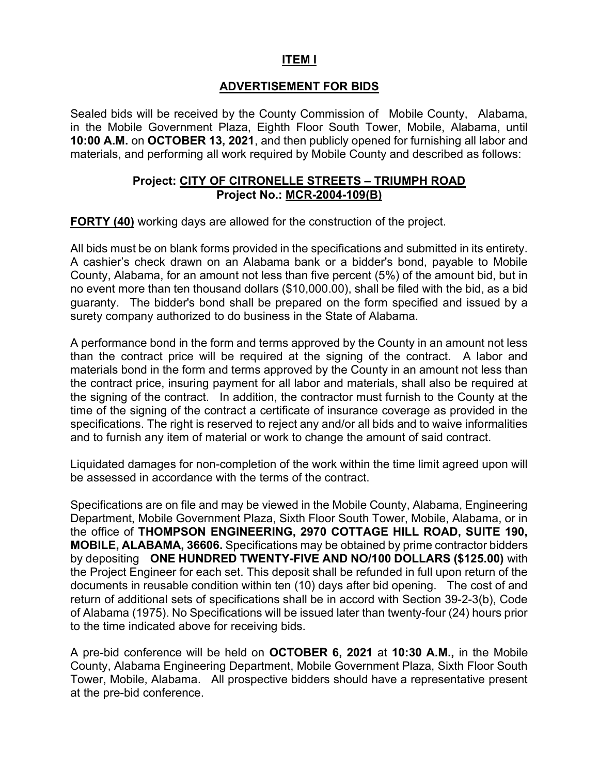### ITEM I

### ADVERTISEMENT FOR BIDS

Sealed bids will be received by the County Commission of Mobile County, Alabama, in the Mobile Government Plaza, Eighth Floor South Tower, Mobile, Alabama, until 10:00 A.M. on OCTOBER 13, 2021, and then publicly opened for furnishing all labor and materials, and performing all work required by Mobile County and described as follows:

#### Project: CITY OF CITRONELLE STREETS – TRIUMPH ROAD Project No.: MCR-2004-109(B)

FORTY (40) working days are allowed for the construction of the project.

All bids must be on blank forms provided in the specifications and submitted in its entirety. A cashier's check drawn on an Alabama bank or a bidder's bond, payable to Mobile County, Alabama, for an amount not less than five percent (5%) of the amount bid, but in no event more than ten thousand dollars (\$10,000.00), shall be filed with the bid, as a bid guaranty. The bidder's bond shall be prepared on the form specified and issued by a surety company authorized to do business in the State of Alabama.

A performance bond in the form and terms approved by the County in an amount not less than the contract price will be required at the signing of the contract. A labor and materials bond in the form and terms approved by the County in an amount not less than the contract price, insuring payment for all labor and materials, shall also be required at the signing of the contract. In addition, the contractor must furnish to the County at the time of the signing of the contract a certificate of insurance coverage as provided in the specifications. The right is reserved to reject any and/or all bids and to waive informalities and to furnish any item of material or work to change the amount of said contract.

Liquidated damages for non-completion of the work within the time limit agreed upon will be assessed in accordance with the terms of the contract.

Specifications are on file and may be viewed in the Mobile County, Alabama, Engineering Department, Mobile Government Plaza, Sixth Floor South Tower, Mobile, Alabama, or in the office of THOMPSON ENGINEERING, 2970 COTTAGE HILL ROAD, SUITE 190, MOBILE, ALABAMA, 36606. Specifications may be obtained by prime contractor bidders by depositing ONE HUNDRED TWENTY-FIVE AND NO/100 DOLLARS (\$125.00) with the Project Engineer for each set. This deposit shall be refunded in full upon return of the documents in reusable condition within ten (10) days after bid opening. The cost of and return of additional sets of specifications shall be in accord with Section 39-2-3(b), Code of Alabama (1975). No Specifications will be issued later than twenty-four (24) hours prior to the time indicated above for receiving bids.

A pre-bid conference will be held on OCTOBER 6, 2021 at 10:30 A.M., in the Mobile County, Alabama Engineering Department, Mobile Government Plaza, Sixth Floor South Tower, Mobile, Alabama. All prospective bidders should have a representative present at the pre-bid conference.